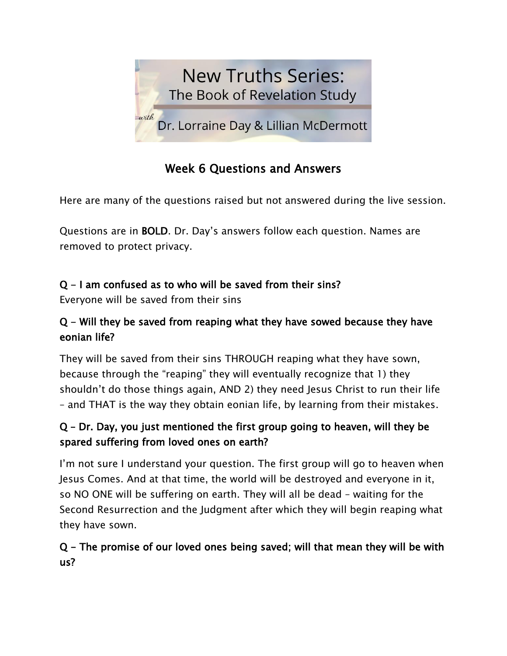

# Week 6 Questions and Answers

Here are many of the questions raised but not answered during the live session.

Questions are in BOLD. Dr. Day's answers follow each question. Names are removed to protect privacy.

### Q - I am confused as to who will be saved from their sins?

Everyone will be saved from their sins

## Q - Will they be saved from reaping what they have sowed because they have eonian life?

They will be saved from their sins THROUGH reaping what they have sown, because through the "reaping" they will eventually recognize that 1) they shouldn't do those things again, AND 2) they need Jesus Christ to run their life – and THAT is the way they obtain eonian life, by learning from their mistakes.

## Q – Dr. Day, you just mentioned the first group going to heaven, will they be spared suffering from loved ones on earth?

I'm not sure I understand your question. The first group will go to heaven when Jesus Comes. And at that time, the world will be destroyed and everyone in it, so NO ONE will be suffering on earth. They will all be dead – waiting for the Second Resurrection and the Judgment after which they will begin reaping what they have sown.

## Q - The promise of our loved ones being saved; will that mean they will be with us?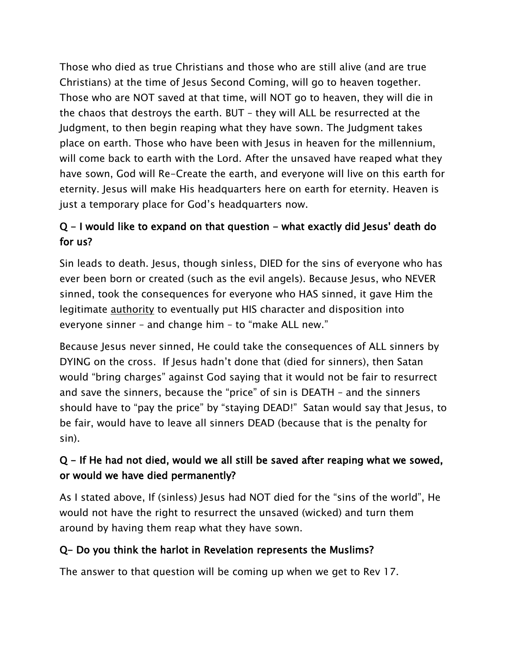Those who died as true Christians and those who are still alive (and are true Christians) at the time of Jesus Second Coming, will go to heaven together. Those who are NOT saved at that time, will NOT go to heaven, they will die in the chaos that destroys the earth. BUT – they will ALL be resurrected at the Judgment, to then begin reaping what they have sown. The Judgment takes place on earth. Those who have been with Jesus in heaven for the millennium, will come back to earth with the Lord. After the unsaved have reaped what they have sown, God will Re-Create the earth, and everyone will live on this earth for eternity. Jesus will make His headquarters here on earth for eternity. Heaven is just a temporary place for God's headquarters now.

## Q - I would like to expand on that question - what exactly did Jesus' death do for us?

Sin leads to death. Jesus, though sinless, DIED for the sins of everyone who has ever been born or created (such as the evil angels). Because Jesus, who NEVER sinned, took the consequences for everyone who HAS sinned, it gave Him the legitimate **authority** to eventually put HIS character and disposition into everyone sinner – and change him – to "make ALL new."

Because Jesus never sinned, He could take the consequences of ALL sinners by DYING on the cross. If Jesus hadn't done that (died for sinners), then Satan would "bring charges" against God saying that it would not be fair to resurrect and save the sinners, because the "price" of sin is DEATH – and the sinners should have to "pay the price" by "staying DEAD!" Satan would say that Jesus, to be fair, would have to leave all sinners DEAD (because that is the penalty for sin).

#### Q - If He had not died, would we all still be saved after reaping what we sowed, or would we have died permanently?

As I stated above, If (sinless) Jesus had NOT died for the "sins of the world", He would not have the right to resurrect the unsaved (wicked) and turn them around by having them reap what they have sown.

#### Q- Do you think the harlot in Revelation represents the Muslims?

The answer to that question will be coming up when we get to Rev 17.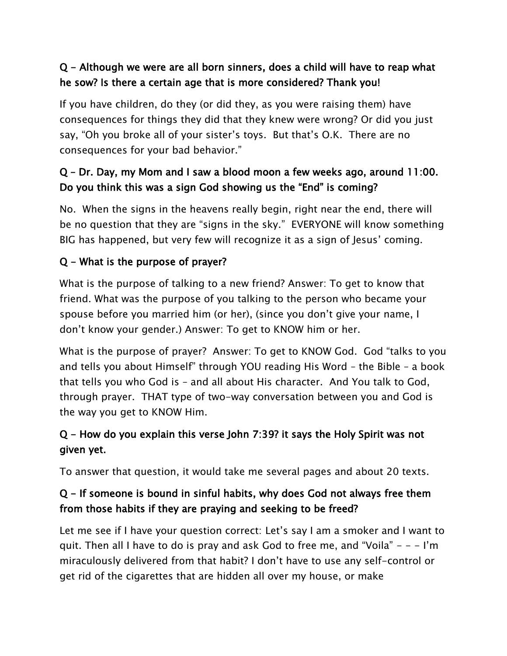### Q - Although we were are all born sinners, does a child will have to reap what he sow? Is there a certain age that is more considered? Thank you!

If you have children, do they (or did they, as you were raising them) have consequences for things they did that they knew were wrong? Or did you just say, "Oh you broke all of your sister's toys. But that's O.K. There are no consequences for your bad behavior."

### Q – Dr. Day, my Mom and I saw a blood moon a few weeks ago, around 11:00. Do you think this was a sign God showing us the "End" is coming?

No. When the signs in the heavens really begin, right near the end, there will be no question that they are "signs in the sky." EVERYONE will know something BIG has happened, but very few will recognize it as a sign of Jesus' coming.

### Q - What is the purpose of prayer?

What is the purpose of talking to a new friend? Answer: To get to know that friend. What was the purpose of you talking to the person who became your spouse before you married him (or her), (since you don't give your name, I don't know your gender.) Answer: To get to KNOW him or her.

What is the purpose of prayer? Answer: To get to KNOW God. God "talks to you and tells you about Himself" through YOU reading His Word – the Bible – a book that tells you who God is – and all about His character. And You talk to God, through prayer. THAT type of two-way conversation between you and God is the way you get to KNOW Him.

### Q - How do you explain this verse John 7:39? it says the Holy Spirit was not given yet.

To answer that question, it would take me several pages and about 20 texts.

## Q - If someone is bound in sinful habits, why does God not always free them from those habits if they are praying and seeking to be freed?

Let me see if I have your question correct: Let's say I am a smoker and I want to quit. Then all I have to do is pray and ask God to free me, and "Voila"  $- - 1$ 'm miraculously delivered from that habit? I don't have to use any self-control or get rid of the cigarettes that are hidden all over my house, or make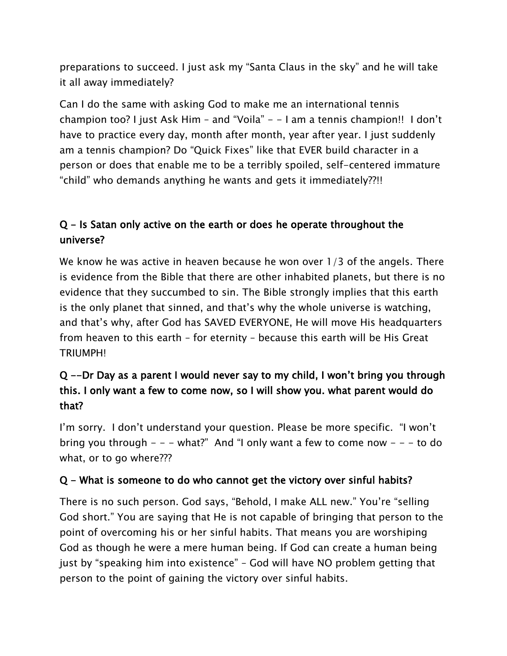preparations to succeed. I just ask my "Santa Claus in the sky" and he will take it all away immediately?

Can I do the same with asking God to make me an international tennis champion too? I just Ask Him - and "Voila"  $-$  - I am a tennis champion!! I don't have to practice every day, month after month, year after year. I just suddenly am a tennis champion? Do "Quick Fixes" like that EVER build character in a person or does that enable me to be a terribly spoiled, self-centered immature "child" who demands anything he wants and gets it immediately??!!

#### Q - Is Satan only active on the earth or does he operate throughout the universe?

We know he was active in heaven because he won over 1/3 of the angels. There is evidence from the Bible that there are other inhabited planets, but there is no evidence that they succumbed to sin. The Bible strongly implies that this earth is the only planet that sinned, and that's why the whole universe is watching, and that's why, after God has SAVED EVERYONE, He will move His headquarters from heaven to this earth – for eternity – because this earth will be His Great TRIUMPH!

### Q --Dr Day as a parent I would never say to my child, I won't bring you through this. I only want a few to come now, so I will show you. what parent would do that?

I'm sorry. I don't understand your question. Please be more specific. "I won't bring you through  $- -$  - what?" And "I only want a few to come now  $- -$  - to do what, or to go where???

#### Q - What is someone to do who cannot get the victory over sinful habits?

There is no such person. God says, "Behold, I make ALL new." You're "selling God short." You are saying that He is not capable of bringing that person to the point of overcoming his or her sinful habits. That means you are worshiping God as though he were a mere human being. If God can create a human being just by "speaking him into existence" – God will have NO problem getting that person to the point of gaining the victory over sinful habits.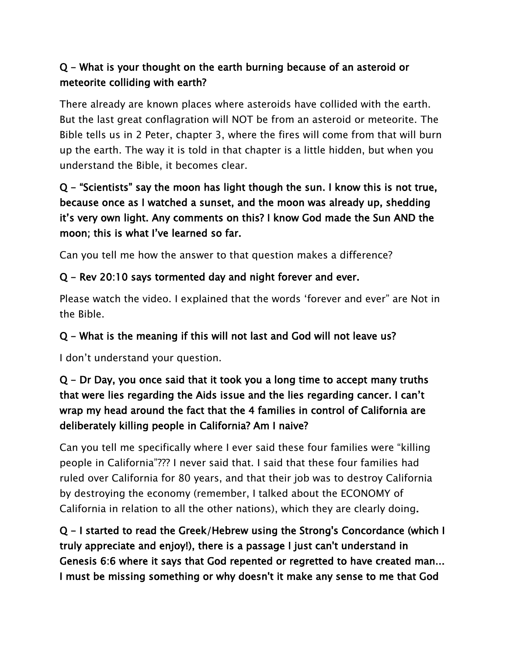## Q - What is your thought on the earth burning because of an asteroid or meteorite colliding with earth?

There already are known places where asteroids have collided with the earth. But the last great conflagration will NOT be from an asteroid or meteorite. The Bible tells us in 2 Peter, chapter 3, where the fires will come from that will burn up the earth. The way it is told in that chapter is a little hidden, but when you understand the Bible, it becomes clear.

## Q - "Scientists" say the moon has light though the sun. I know this is not true, because once as I watched a sunset, and the moon was already up, shedding it's very own light. Any comments on this? I know God made the Sun AND the moon; this is what I've learned so far.

Can you tell me how the answer to that question makes a difference?

#### Q - Rev 20:10 says tormented day and night forever and ever.

Please watch the video. I explained that the words 'forever and ever" are Not in the Bible.

#### Q - What is the meaning if this will not last and God will not leave us?

I don't understand your question.

## Q - Dr Day, you once said that it took you a long time to accept many truths that were lies regarding the Aids issue and the lies regarding cancer. I can't wrap my head around the fact that the 4 families in control of California are deliberately killing people in California? Am I naive?

Can you tell me specifically where I ever said these four families were "killing people in California"??? I never said that. I said that these four families had ruled over California for 80 years, and that their job was to destroy California by destroying the economy (remember, I talked about the ECONOMY of California in relation to all the other nations), which they are clearly doing.

Q - I started to read the Greek/Hebrew using the Strong's Concordance (which I truly appreciate and enjoy!), there is a passage I just can't understand in Genesis 6:6 where it says that God repented or regretted to have created man... I must be missing something or why doesn't it make any sense to me that God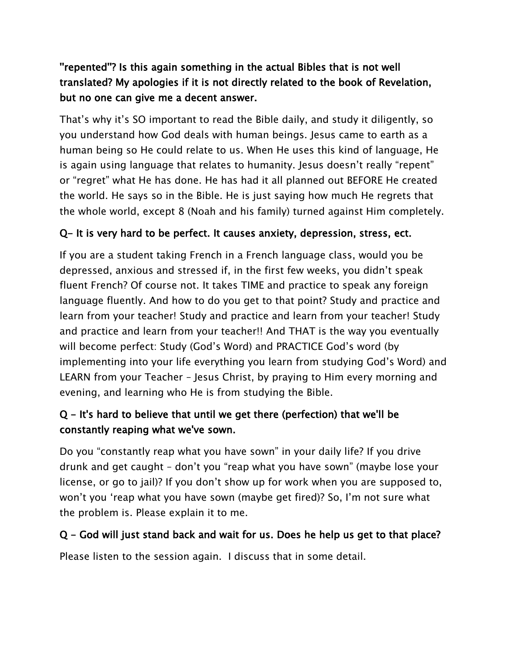## ''repented''? Is this again something in the actual Bibles that is not well translated? My apologies if it is not directly related to the book of Revelation, but no one can give me a decent answer.

That's why it's SO important to read the Bible daily, and study it diligently, so you understand how God deals with human beings. Jesus came to earth as a human being so He could relate to us. When He uses this kind of language, He is again using language that relates to humanity. Jesus doesn't really "repent" or "regret" what He has done. He has had it all planned out BEFORE He created the world. He says so in the Bible. He is just saying how much He regrets that the whole world, except 8 (Noah and his family) turned against Him completely.

### Q- It is very hard to be perfect. It causes anxiety, depression, stress, ect.

If you are a student taking French in a French language class, would you be depressed, anxious and stressed if, in the first few weeks, you didn't speak fluent French? Of course not. It takes TIME and practice to speak any foreign language fluently. And how to do you get to that point? Study and practice and learn from your teacher! Study and practice and learn from your teacher! Study and practice and learn from your teacher!! And THAT is the way you eventually will become perfect: Study (God's Word) and PRACTICE God's word (by implementing into your life everything you learn from studying God's Word) and LEARN from your Teacher – Jesus Christ, by praying to Him every morning and evening, and learning who He is from studying the Bible.

## Q - It's hard to believe that until we get there (perfection) that we'll be constantly reaping what we've sown.

Do you "constantly reap what you have sown" in your daily life? If you drive drunk and get caught – don't you "reap what you have sown" (maybe lose your license, or go to jail)? If you don't show up for work when you are supposed to, won't you 'reap what you have sown (maybe get fired)? So, I'm not sure what the problem is. Please explain it to me.

#### Q - God will just stand back and wait for us. Does he help us get to that place?

Please listen to the session again. I discuss that in some detail.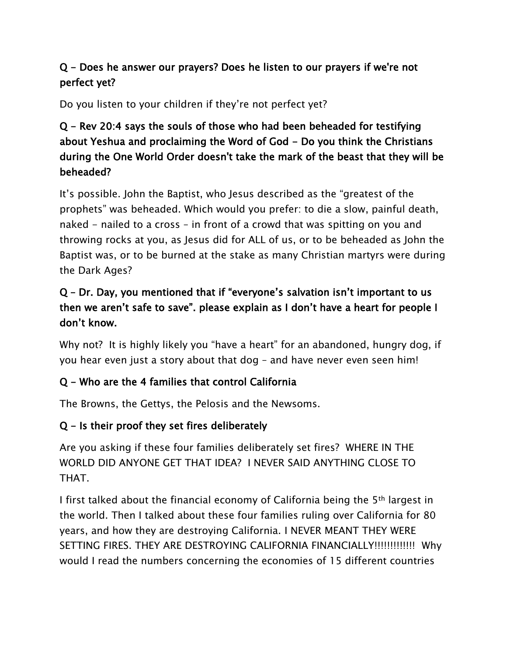## Q - Does he answer our prayers? Does he listen to our prayers if we're not perfect yet?

Do you listen to your children if they're not perfect yet?

## Q - Rev 20:4 says the souls of those who had been beheaded for testifying about Yeshua and proclaiming the Word of God - Do you think the Christians during the One World Order doesn't take the mark of the beast that they will be beheaded?

It's possible. John the Baptist, who Jesus described as the "greatest of the prophets" was beheaded. Which would you prefer: to die a slow, painful death, naked - nailed to a cross – in front of a crowd that was spitting on you and throwing rocks at you, as Jesus did for ALL of us, or to be beheaded as John the Baptist was, or to be burned at the stake as many Christian martyrs were during the Dark Ages?

## Q – Dr. Day, you mentioned that if "everyone's salvation isn't important to us then we aren't safe to save". please explain as I don't have a heart for people I don't know.

Why not? It is highly likely you "have a heart" for an abandoned, hungry dog, if you hear even just a story about that dog – and have never even seen him!

## Q - Who are the 4 families that control California

The Browns, the Gettys, the Pelosis and the Newsoms.

#### Q - Is their proof they set fires deliberately

Are you asking if these four families deliberately set fires? WHERE IN THE WORLD DID ANYONE GET THAT IDEA? I NEVER SAID ANYTHING CLOSE TO THAT.

I first talked about the financial economy of California being the 5<sup>th</sup> largest in the world. Then I talked about these four families ruling over California for 80 years, and how they are destroying California. I NEVER MEANT THEY WERE SETTING FIRES. THEY ARE DESTROYING CALIFORNIA FINANCIALLY!!!!!!!!!!!!! Why would I read the numbers concerning the economies of 15 different countries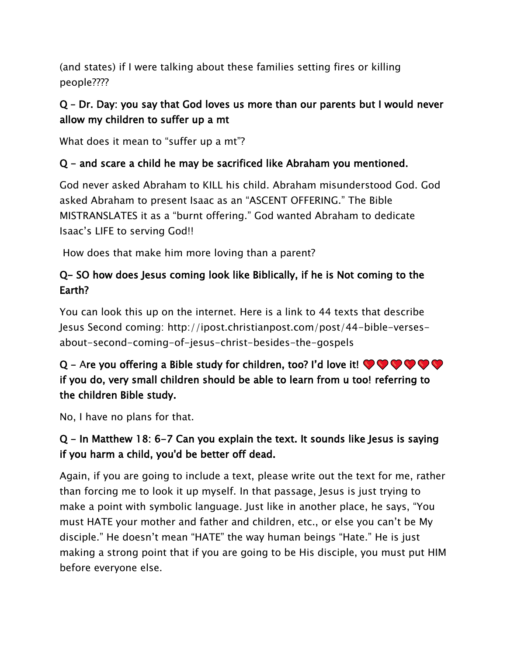(and states) if I were talking about these families setting fires or killing people????

### Q – Dr. Day: you say that God loves us more than our parents but I would never allow my children to suffer up a mt

What does it mean to "suffer up a mt"?

#### Q - and scare a child he may be sacrificed like Abraham you mentioned.

God never asked Abraham to KILL his child. Abraham misunderstood God. God asked Abraham to present Isaac as an "ASCENT OFFERING." The Bible MISTRANSLATES it as a "burnt offering." God wanted Abraham to dedicate Isaac's LIFE to serving God!!

How does that make him more loving than a parent?

### Q- SO how does Jesus coming look like Biblically, if he is Not coming to the Earth?

You can look this up on the internet. Here is a link to 44 texts that describe Jesus Second coming: http://ipost.christianpost.com/post/44-bible-versesabout-second-coming-of-jesus-christ-besides-the-gospels

## Q – Are you offering a Bible study for children, too? I'd love it!  $\bigcirc \bigcirc \bigcirc \bigcirc \bigcirc \bigcirc$ if you do, very small children should be able to learn from u too! referring to the children Bible study.

No, I have no plans for that.

### Q - In Matthew 18: 6-7 Can you explain the text. It sounds like Jesus is saying if you harm a child, you'd be better off dead.

Again, if you are going to include a text, please write out the text for me, rather than forcing me to look it up myself. In that passage, Jesus is just trying to make a point with symbolic language. Just like in another place, he says, "You must HATE your mother and father and children, etc., or else you can't be My disciple." He doesn't mean "HATE" the way human beings "Hate." He is just making a strong point that if you are going to be His disciple, you must put HIM before everyone else.